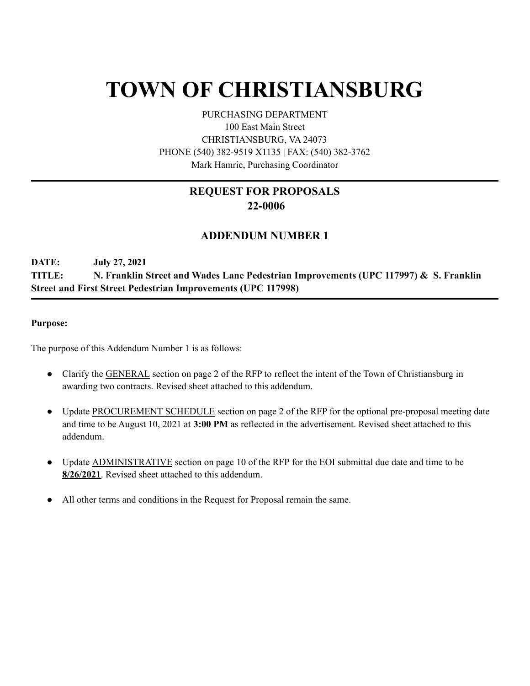# **TOWN OF CHRISTIANSBURG**

PURCHASING DEPARTMENT 100 East Main Street CHRISTIANSBURG, VA 24073 PHONE (540) 382-9519 X1135 | FAX: (540) 382-3762 Mark Hamric, Purchasing Coordinator

## **REQUEST FOR PROPOSALS 22-0006**

### **ADDENDUM NUMBER 1**

**DATE: July 27, 2021 TITLE: N. Franklin Street and Wades Lane Pedestrian Improvements (UPC 117997) & S. Franklin Street and First Street Pedestrian Improvements (UPC 117998)**

#### **Purpose:**

The purpose of this Addendum Number 1 is as follows:

- Clarify the **GENERAL** section on page 2 of the RFP to reflect the intent of the Town of Christiansburg in awarding two contracts. Revised sheet attached to this addendum.
- Update PROCUREMENT SCHEDULE section on page 2 of the RFP for the optional pre-proposal meeting date and time to be August 10, 2021 at **3:00 PM** as reflected in the advertisement. Revised sheet attached to this addendum.
- Update **ADMINISTRATIVE** section on page 10 of the RFP for the EOI submittal due date and time to be **8/26/2021**. Revised sheet attached to this addendum.
- All other terms and conditions in the Request for Proposal remain the same.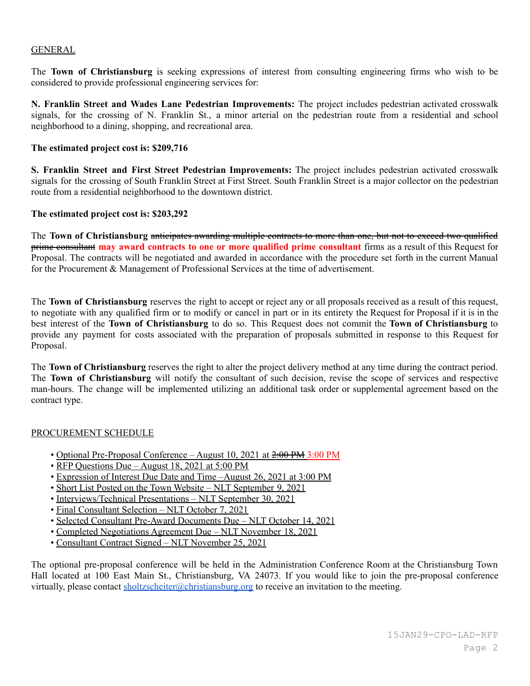#### GENERAL

The **Town of Christiansburg** is seeking expressions of interest from consulting engineering firms who wish to be considered to provide professional engineering services for:

**N. Franklin Street and Wades Lane Pedestrian Improvements:** The project includes pedestrian activated crosswalk signals, for the crossing of N. Franklin St., a minor arterial on the pedestrian route from a residential and school neighborhood to a dining, shopping, and recreational area.

#### **The estimated project cost is: \$209,716**

**S. Franklin Street and First Street Pedestrian Improvements:** The project includes pedestrian activated crosswalk signals for the crossing of South Franklin Street at First Street. South Franklin Street is a major collector on the pedestrian route from a residential neighborhood to the downtown district.

#### **The estimated project cost is: \$203,292**

The **Town of Christiansburg** anticipates awarding multiple contracts to more than one, but not to exceed two qualified prime consultant **may award contracts to one or more qualified prime consultant** firms as a result of this Request for Proposal. The contracts will be negotiated and awarded in accordance with the procedure set forth in the current Manual for the Procurement & Management of Professional Services at the time of advertisement.

The **Town of Christiansburg** reserves the right to accept or reject any or all proposals received as a result of this request, to negotiate with any qualified firm or to modify or cancel in part or in its entirety the Request for Proposal if it is in the best interest of the **Town of Christiansburg** to do so. This Request does not commit the **Town of Christiansburg** to provide any payment for costs associated with the preparation of proposals submitted in response to this Request for Proposal.

The **Town of Christiansburg** reserves the right to alter the project delivery method at any time during the contract period. The **Town of Christiansburg** will notify the consultant of such decision, revise the scope of services and respective man-hours. The change will be implemented utilizing an additional task order or supplemental agreement based on the contract type.

#### PROCUREMENT SCHEDULE

- Optional Pre-Proposal Conference August 10, 2021 at  $2:00 \text{ PM}$  3:00 PM
- RFP Questions Due August 18, 2021 at 5:00 PM
- Expression of Interest Due Date and Time –August 26, 2021 at 3:00 PM
- Short List Posted on the Town Website NLT September 9, 2021
- Interviews/Technical Presentations NLT September 30, 2021
- Final Consultant Selection NLT October 7, 2021
- Selected Consultant Pre-Award Documents Due NLT October 14, 2021
- Completed Negotiations Agreement Due NLT November 18, 2021
- Consultant Contract Signed NLT November 25, 2021

The optional pre-proposal conference will be held in the Administration Conference Room at the Christiansburg Town Hall located at 100 East Main St., Christiansburg, VA 24073. If you would like to join the pre-proposal conference virtually, please contact [sholtzscheiter@christiansburg.org](mailto:sholtzscheiter@christiansburg.org) to receive an invitation to the meeting.